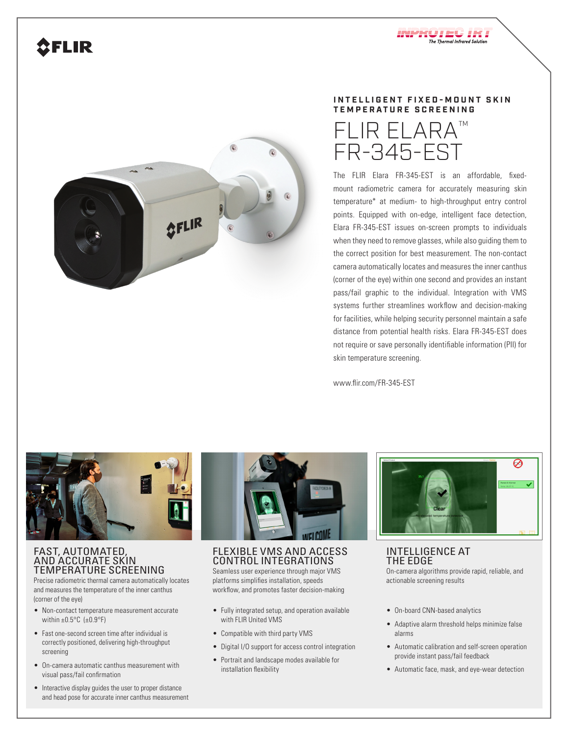





### **INTELLIGENT FIXED-MOUNT SKIN TEMPERATURE SCREENING**

FLIR ELARA™ FR-345-EST

The FLIR Elara FR-345-EST is an affordable, fixedmount radiometric camera for accurately measuring skin temperature\* at medium- to high-throughput entry control points. Equipped with on-edge, intelligent face detection, Elara FR-345-EST issues on-screen prompts to individuals when they need to remove glasses, while also guiding them to the correct position for best measurement. The non-contact camera automatically locates and measures the inner canthus (corner of the eye) within one second and provides an instant pass/fail graphic to the individual. Integration with VMS systems further streamlines workflow and decision-making for facilities, while helping security personnel maintain a safe distance from potential health risks. Elara FR-345-EST does not require or save personally identifiable information (PII) for skin temperature screening.

www.flir.com/FR-345-EST



### FAST, AUTOMATED, AND ACCURATE SKIN TEMPERATURE SCREENING

Precise radiometric thermal camera automatically locates and measures the temperature of the inner canthus (corner of the eye)

- Non-contact temperature measurement accurate within  $\pm 0.5$ °C ( $\pm 0.9$ °F)
- Fast one-second screen time after individual is correctly positioned, delivering high-throughput screening
- On-camera automatic canthus measurement with visual pass/fail confirmation
- Interactive display guides the user to proper distance and head pose for accurate inner canthus measurement



## FLEXIBLE VMS AND ACCESS CONTROL INTEGRATIONS

Seamless user experience through major VMS platforms simplifies installation, speeds workflow, and promotes faster decision-making

- Fully integrated setup, and operation available with FLIR United VMS
- Compatible with third party VMS
- Digital I/O support for access control integration
- Portrait and landscape modes available for installation flexibility



# INTELLIGENCE AT THE EDGE

On-camera algorithms provide rapid, reliable, and actionable screening results

- On-board CNN-based analytics
- Adaptive alarm threshold helps minimize false alarms
- Automatic calibration and self-screen operation provide instant pass/fail feedback
- Automatic face, mask, and eye-wear detection